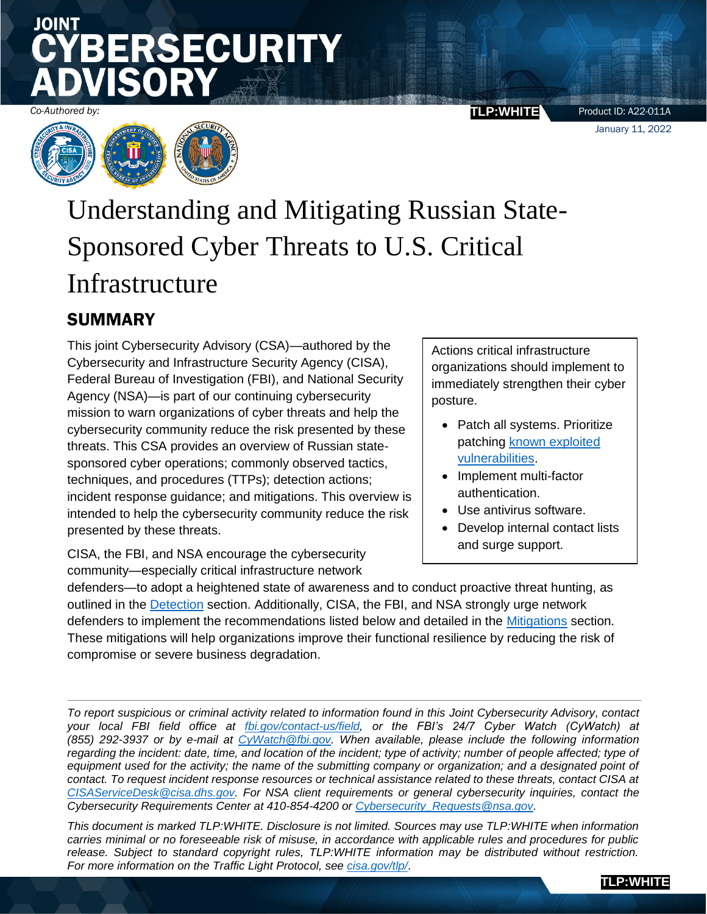# **JOINT RSECURITY**



*Co-Authored by:* **TLP:WHITE**

Product ID: A22-011A January 11, 2022

**TLP:WHITE**

# Understanding and Mitigating Russian State-Sponsored Cyber Threats to U.S. Critical Infrastructure

# SUMMARY

This joint Cybersecurity Advisory (CSA)—authored by the Cybersecurity and Infrastructure Security Agency (CISA), Federal Bureau of Investigation (FBI), and National Security Agency (NSA)—is part of our continuing cybersecurity mission to warn organizations of cyber threats and help the cybersecurity community reduce the risk presented by these threats. This CSA provides an overview of Russian statesponsored cyber operations; commonly observed tactics, techniques, and procedures (TTPs); detection actions; incident response guidance; and mitigations. This overview is intended to help the cybersecurity community reduce the risk presented by these threats.

CISA, the FBI, and NSA encourage the cybersecurity community—especially critical infrastructure network

Actions critical infrastructure organizations should implement to immediately strengthen their cyber posture.

- Patch all systems. Prioritize patching [known exploited](https://www.cisa.gov/known-exploited-vulnerabilities-catalog)  [vulnerabilities.](https://www.cisa.gov/known-exploited-vulnerabilities-catalog)
- Implement multi-factor authentication.
- Use antivirus software.
- Develop internal contact lists and surge support.

defenders—to adopt a heightened state of awareness and to conduct proactive threat hunting, as outlined in the [Detection](#page-5-0) section. Additionally, CISA, the FBI, and NSA strongly urge network defenders to implement the recommendations listed below and detailed in the [Mitigations](#page-7-0) section. These mitigations will help organizations improve their functional resilience by reducing the risk of compromise or severe business degradation.

*To report suspicious or criminal activity related to information found in this Joint Cybersecurity Advisory, contact your local FBI field office at [fbi.gov/contact-us/field,](http://www.fbi.gov/contact-us/field) or the FBI's 24/7 Cyber Watch (CyWatch) at (855) 292-3937 or by e-mail at [CyWatch@fbi.gov.](mailto:CyWatch@fbi.gov) When available, please include the following information*  regarding the incident: date, time, and location of the incident; type of activity; number of people affected; type of equipment used for the activity; the name of the submitting company or organization; and a designated point of *contact. To request incident response resources or technical assistance related to these threats, contact CISA at [CISAServiceDesk@cisa.dhs.gov.](mailto:CISAServiceDesk@cisa.dhs.gov) For NSA client requirements or general cybersecurity inquiries, contact the Cybersecurity Requirements Center at 410-854-4200 or [Cybersecurity\\_Requests@nsa.gov.](mailto:Cybersecurity_Requests@nsa.gov)*

*This document is marked TLP:WHITE. Disclosure is not limited. Sources may use TLP:WHITE when information carries minimal or no foreseeable risk of misuse, in accordance with applicable rules and procedures for public release. Subject to standard copyright rules, TLP:WHITE information may be distributed without restriction. For more information on the Traffic Light Protocol, see [cisa.gov/tlp/](http://www.us-cert.gov/tlp/)*.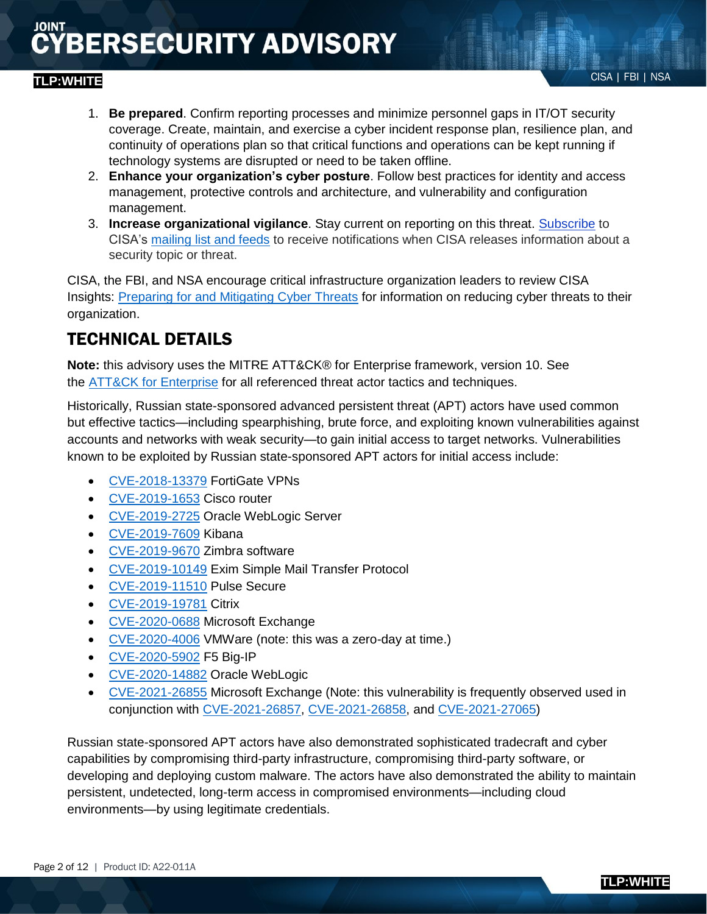- 1. **Be prepared**. Confirm reporting processes and minimize personnel gaps in IT/OT security coverage. Create, maintain, and exercise a cyber incident response plan, resilience plan, and continuity of operations plan so that critical functions and operations can be kept running if technology systems are disrupted or need to be taken offline.
- 2. **Enhance your organization's cyber posture**. Follow best practices for identity and access management, protective controls and architecture, and vulnerability and configuration management.
- 3. **Increase organizational vigilance**. Stay current on reporting on this threat. [Subscribe](https://public.govdelivery.com/accounts/USDHSUSCERT/subscriber/new) to CISA's [mailing list and feeds](https://www.cisa.gov/uscert/mailing-lists-and-feeds) to receive notifications when CISA releases information about a security topic or threat.

CISA, the FBI, and NSA encourage critical infrastructure organization leaders to review CISA Insights: [Preparing for and Mitigating Cyber Threats](https://www.cisa.gov/sites/default/files/publications/CISA_INSIGHTS-Preparing_For_and_Mitigating_Potential_Cyber_Threats-508C.pdf) for information on reducing cyber threats to their organization.

# TECHNICAL DETAILS

**Note:** this advisory uses the MITRE ATT&CK® for Enterprise framework, version 10. See the [ATT&CK for Enterprise](https://attack.mitre.org/versions/v10/matrices/enterprise/) for all referenced threat actor tactics and techniques.

Historically, Russian state-sponsored advanced persistent threat (APT) actors have used common but effective tactics—including spearphishing, brute force, and exploiting known vulnerabilities against accounts and networks with weak security—to gain initial access to target networks. Vulnerabilities known to be exploited by Russian state-sponsored APT actors for initial access include:

- [CVE-2018-13379](https://nvd.nist.gov/vuln/detail/CVE-2018-13379) FortiGate VPNs
- [CVE-2019-1653](https://nvd.nist.gov/vuln/detail/CVE-2019-1653) Cisco router
- [CVE-2019-2725](https://nvd.nist.gov/vuln/detail/CVE-2019-2725) Oracle WebLogic Server
- [CVE-2019-7609](https://nvd.nist.gov/vuln/detail/CVE-2019-7609) Kibana
- [CVE-2019-9670](https://nvd.nist.gov/vuln/detail/CVE-2019-9670) Zimbra software
- [CVE-2019-10149](https://nvd.nist.gov/vuln/detail/CVE-2019-10149) Exim Simple Mail Transfer Protocol
- [CVE-2019-11510](https://nvd.nist.gov/vuln/detail/CVE-2019-11510) Pulse Secure
- [CVE-2019-19781](https://nvd.nist.gov/vuln/detail/CVE-2019-19781) Citrix
- [CVE-2020-0688](https://nvd.nist.gov/vuln/detail/CVE-2020-0688) Microsoft Exchange
- [CVE-2020-4006](https://nvd.nist.gov/vuln/detail/CVE-2020-4006) VMWare (note: this was a zero-day at time.)
- [CVE-2020-5902](https://nvd.nist.gov/vuln/detail/CVE-2020-5902) F5 Big-IP
- [CVE-2020-14882](https://nvd.nist.gov/vuln/detail/CVE-2020-14882) Oracle WebLogic
- [CVE-2021-26855](https://nvd.nist.gov/vuln/detail/CVE-2021-26855) Microsoft Exchange (Note: this vulnerability is frequently observed used in conjunction with [CVE-2021-26857,](https://nvd.nist.gov/vuln/detail/CVE-2021-26857) [CVE-2021-26858,](https://nvd.nist.gov/vuln/detail/CVE-2021-26858) and [CVE-2021-27065\)](https://nvd.nist.gov/vuln/detail/CVE-2021-27065)

Russian state-sponsored APT actors have also demonstrated sophisticated tradecraft and cyber capabilities by compromising third-party infrastructure, compromising third-party software, or developing and deploying custom malware. The actors have also demonstrated the ability to maintain persistent, undetected, long-term access in compromised environments—including cloud environments—by using legitimate credentials.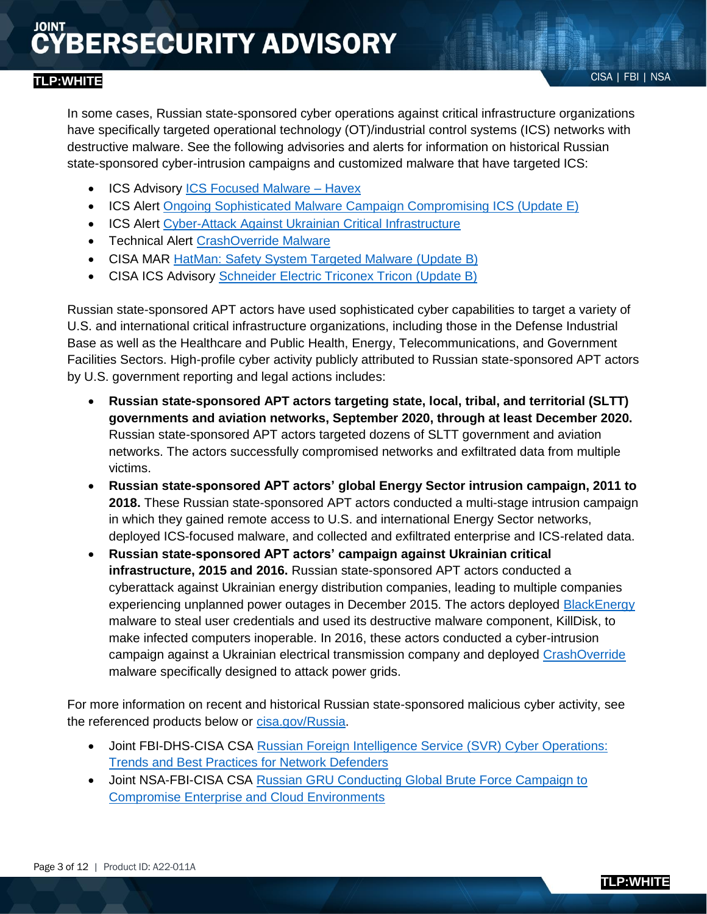## CISA | FBI | NSA **TLP:WHITE**

In some cases, Russian state-sponsored cyber operations against critical infrastructure organizations have specifically targeted operational technology (OT)/industrial control systems (ICS) networks with destructive malware. See the following advisories and alerts for information on historical Russian state-sponsored cyber-intrusion campaigns and customized malware that have targeted ICS:

- ICS Advisory [ICS Focused Malware –](https://us-cert.cisa.gov/ics/advisories/ICSA-14-178-01) Havex
- ICS Alert [Ongoing Sophisticated Malware Campaign Compromising ICS \(Update E\)](https://us-cert.cisa.gov/ics/alerts/ICS-ALERT-14-281-01B)
- ICS Alert [Cyber-Attack Against Ukrainian Critical Infrastructure](https://us-cert.cisa.gov/ics/alerts/IR-ALERT-H-16-056-01)
- Technical Alert [CrashOverride Malware](https://us-cert.cisa.gov/ncas/alerts/TA17-163A)
- CISA MAR [HatMan: Safety System Targeted Malware \(Update B\)](https://us-cert.cisa.gov/ics/MAR-17-352-01-HatMan-Safety-System-Targeted-Malware-Update-B)
- CISA ICS Advisory [Schneider Electric Triconex Tricon \(Update B\)](https://us-cert.cisa.gov/ics/advisories/ICSA-18-107-02)

Russian state-sponsored APT actors have used sophisticated cyber capabilities to target a variety of U.S. and international critical infrastructure organizations, including those in the Defense Industrial Base as well as the Healthcare and Public Health, Energy, Telecommunications, and Government Facilities Sectors. High-profile cyber activity publicly attributed to Russian state-sponsored APT actors by U.S. government reporting and legal actions includes:

- **Russian state-sponsored APT actors targeting state, local, tribal, and territorial (SLTT) governments and aviation networks, September 2020, through at least December 2020.** Russian state-sponsored APT actors targeted dozens of SLTT government and aviation networks. The actors successfully compromised networks and exfiltrated data from multiple victims.
- **Russian state-sponsored APT actors' global Energy Sector intrusion campaign, 2011 to 2018.** These Russian state-sponsored APT actors conducted a multi-stage intrusion campaign in which they gained remote access to U.S. and international Energy Sector networks, deployed ICS-focused malware, and collected and exfiltrated enterprise and ICS-related data.
- **Russian state-sponsored APT actors' campaign against Ukrainian critical infrastructure, 2015 and 2016.** Russian state-sponsored APT actors conducted a cyberattack against Ukrainian energy distribution companies, leading to multiple companies experiencing unplanned power outages in December 2015. The actors deployed [BlackEnergy](https://attack.mitre.org/versions/v10/software/S0089) malware to steal user credentials and used its destructive malware component, KillDisk, to make infected computers inoperable. In 2016, these actors conducted a cyber-intrusion campaign against a Ukrainian electrical transmission company and deployed [CrashOverride](https://attack.mitre.org/versions/v10/software/S0604) malware specifically designed to attack power grids.

For more information on recent and historical Russian state-sponsored malicious cyber activity, see the referenced products below or [cisa.gov/Russia.](https://www.cisa.gov/uscert/russia)

- Joint FBI-DHS-CISA CSA [Russian Foreign Intelligence Service \(SVR\) Cyber Operations:](https://us-cert.cisa.gov/ncas/alerts/aa21-116a)  [Trends and Best Practices for Network Defenders](https://us-cert.cisa.gov/ncas/alerts/aa21-116a)
- Joint NSA-FBI-CISA CSA Russian GRU Conducting Global Brute Force Campaign to [Compromise Enterprise and Cloud Environments](https://media.defense.gov/2021/jul/01/2002753896/-1/-1/1/CSA_GRU_GLOBAL_BRUTE_FORCE_CAMPAIGN_UOO158036-21.PDF)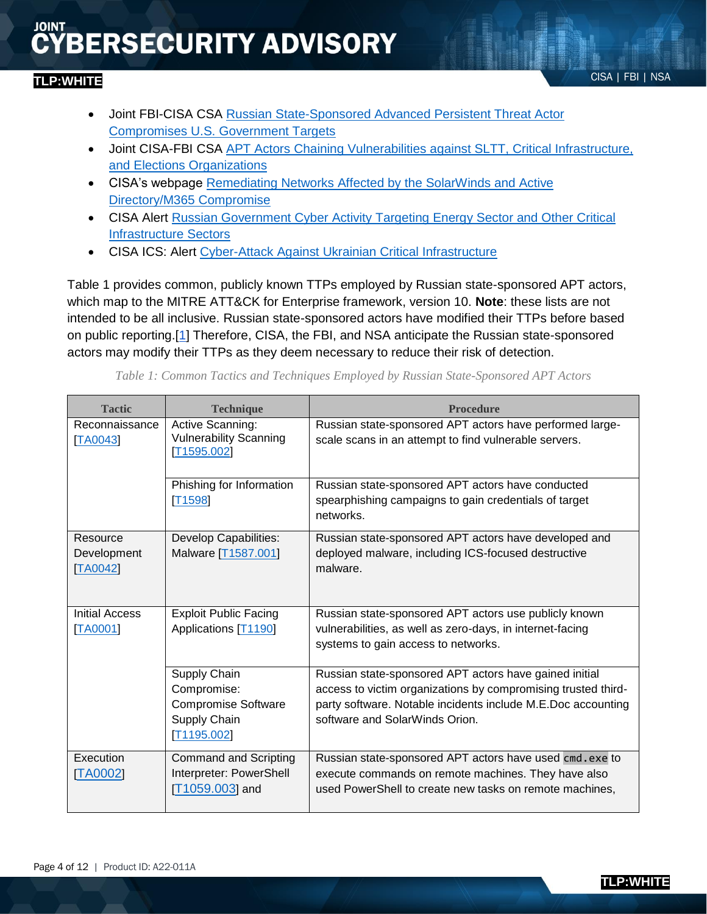### CISA | FBI | NSA **TLP:WHITE**

- Joint FBI-CISA CSA [Russian State-Sponsored Advanced Persistent Threat Actor](https://www.cisa.gov/uscert/ncas/alerts/aa20-296a)  Compromises [U.S. Government Targets](https://www.cisa.gov/uscert/ncas/alerts/aa20-296a)
- Joint CISA-FBI CSA [APT Actors Chaining Vulnerabilities against SLTT, Critical Infrastructure,](https://www.cisa.gov/uscert/ncas/alerts/aa20-283a)  [and Elections Organizations](https://www.cisa.gov/uscert/ncas/alerts/aa20-283a)
- CISA's webpage Remediating Networks Affected by the SolarWinds and Active [Directory/M365 Compromise](https://us-cert.cisa.gov/remediating-apt-compromised-networks)
- CISA Alert [Russian Government Cyber Activity Targeting Energy Sector and Other Critical](https://us-cert.cisa.gov/ncas/alerts/TA18-074A)  [Infrastructure Sectors](https://us-cert.cisa.gov/ncas/alerts/TA18-074A)
- CISA ICS: Alert [Cyber-Attack Against Ukrainian Critical Infrastructure](https://us-cert.cisa.gov/ics/alerts/ir-alert-h-16-056-01)

Table 1 provides common, publicly known TTPs employed by Russian state-sponsored APT actors, which map to the MITRE ATT&CK for Enterprise framework, version 10. **Note**: these lists are not intended to be all inclusive. Russian state-sponsored actors have modified their TTPs before based on public reporting.[\[1\]](https://www.ncsc.gov.uk/news/joint-advisory-further-ttps-associated-with-svr-cyber-actors) Therefore, CISA, the FBI, and NSA anticipate the Russian state-sponsored actors may modify their TTPs as they deem necessary to reduce their risk of detection.

| <b>Tactic</b>                             | <b>Technique</b>                                                                         | <b>Procedure</b>                                                                                                                                                                                                          |
|-------------------------------------------|------------------------------------------------------------------------------------------|---------------------------------------------------------------------------------------------------------------------------------------------------------------------------------------------------------------------------|
| Reconnaissance<br><b>TA0043</b>           | Active Scanning:<br><b>Vulnerability Scanning</b><br>T1595.002]                          | Russian state-sponsored APT actors have performed large-<br>scale scans in an attempt to find vulnerable servers.                                                                                                         |
|                                           | Phishing for Information<br>T <sub>1598</sub>                                            | Russian state-sponsored APT actors have conducted<br>spearphishing campaigns to gain credentials of target<br>networks.                                                                                                   |
| Resource<br>Development<br><b>TA00421</b> | Develop Capabilities:<br>Malware [T1587.001]                                             | Russian state-sponsored APT actors have developed and<br>deployed malware, including ICS-focused destructive<br>malware.                                                                                                  |
| <b>Initial Access</b><br><b>TA0001</b>    | <b>Exploit Public Facing</b><br>Applications [T1190]                                     | Russian state-sponsored APT actors use publicly known<br>vulnerabilities, as well as zero-days, in internet-facing<br>systems to gain access to networks.                                                                 |
|                                           | Supply Chain<br>Compromise:<br><b>Compromise Software</b><br>Supply Chain<br>[T1195.002] | Russian state-sponsored APT actors have gained initial<br>access to victim organizations by compromising trusted third-<br>party software. Notable incidents include M.E.Doc accounting<br>software and SolarWinds Orion. |
| Execution<br>[TA0002]                     | <b>Command and Scripting</b><br>Interpreter: PowerShell<br>$[T1059.003]$ and             | Russian state-sponsored APT actors have used cmd. exe to<br>execute commands on remote machines. They have also<br>used PowerShell to create new tasks on remote machines,                                                |

*Table 1: Common Tactics and Techniques Employed by Russian State-Sponsored APT Actors*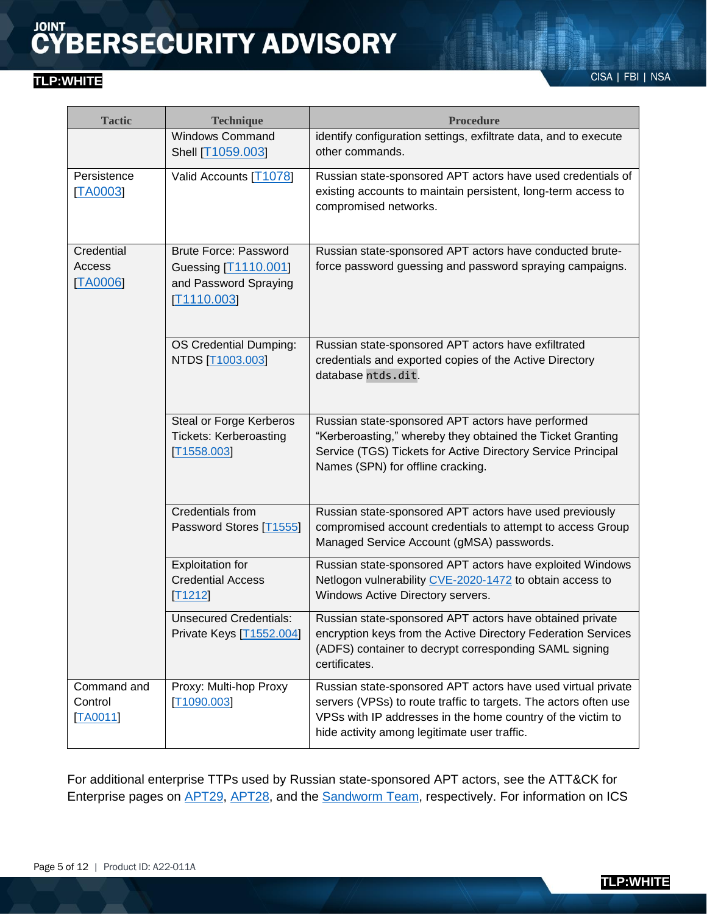# CISA | FBI | NSA **TLP:WHITE**

| <b>Tactic</b>                          | <b>Technique</b>                                                                             | <b>Procedure</b>                                                                                                                                                                                                                                |
|----------------------------------------|----------------------------------------------------------------------------------------------|-------------------------------------------------------------------------------------------------------------------------------------------------------------------------------------------------------------------------------------------------|
|                                        | <b>Windows Command</b><br>Shell [T1059.003]                                                  | identify configuration settings, exfiltrate data, and to execute<br>other commands.                                                                                                                                                             |
| Persistence<br><b>TA0003</b>           | Valid Accounts [T1078]                                                                       | Russian state-sponsored APT actors have used credentials of<br>existing accounts to maintain persistent, long-term access to<br>compromised networks.                                                                                           |
| Credential<br>Access<br><b>TA00061</b> | <b>Brute Force: Password</b><br>Guessing [T1110.001]<br>and Password Spraying<br>[T1110.003] | Russian state-sponsored APT actors have conducted brute-<br>force password guessing and password spraying campaigns.                                                                                                                            |
|                                        | OS Credential Dumping:<br>NTDS [T1003.003]                                                   | Russian state-sponsored APT actors have exfiltrated<br>credentials and exported copies of the Active Directory<br>database ntds.dit.                                                                                                            |
|                                        | Steal or Forge Kerberos<br><b>Tickets: Kerberoasting</b><br>[T1558.003]                      | Russian state-sponsored APT actors have performed<br>"Kerberoasting," whereby they obtained the Ticket Granting<br>Service (TGS) Tickets for Active Directory Service Principal<br>Names (SPN) for offline cracking.                            |
|                                        | Credentials from<br>Password Stores [T1555]                                                  | Russian state-sponsored APT actors have used previously<br>compromised account credentials to attempt to access Group<br>Managed Service Account (gMSA) passwords.                                                                              |
|                                        | <b>Exploitation for</b><br><b>Credential Access</b><br>[T1212]                               | Russian state-sponsored APT actors have exploited Windows<br>Netlogon vulnerability CVE-2020-1472 to obtain access to<br>Windows Active Directory servers.                                                                                      |
|                                        | <b>Unsecured Credentials:</b><br>Private Keys [T1552.004]                                    | Russian state-sponsored APT actors have obtained private<br>encryption keys from the Active Directory Federation Services<br>(ADFS) container to decrypt corresponding SAML signing<br>certificates.                                            |
| Command and<br>Control<br>TA0011       | Proxy: Multi-hop Proxy<br>T1090.003                                                          | Russian state-sponsored APT actors have used virtual private<br>servers (VPSs) to route traffic to targets. The actors often use<br>VPSs with IP addresses in the home country of the victim to<br>hide activity among legitimate user traffic. |

For additional enterprise TTPs used by Russian state-sponsored APT actors, see the ATT&CK for Enterprise pages on [APT29,](https://attack.mitre.org/versions/v10/groups/G0016) [APT28,](https://attack.mitre.org/versions/v10/groups/G0007) and the [Sandworm Team,](https://attack.mitre.org/versions/v10/groups/G0034) respectively. For information on ICS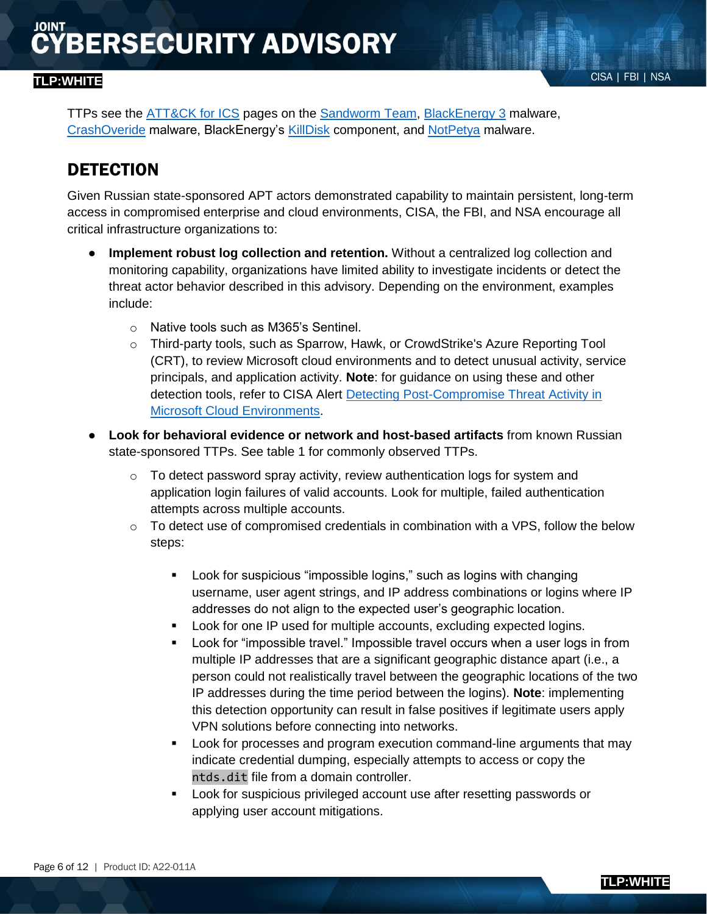TTPs see the [ATT&CK for ICS](https://collaborate.mitre.org/attackics/index.php/Main_Page) pages on the [Sandworm Team,](https://collaborate.mitre.org/attackics/index.php/Group/G0007) [BlackEnergy 3](https://collaborate.mitre.org/attackics/index.php/software/S0004) malware, [CrashOveride](https://collaborate.mitre.org/attackics/index.php/software/S0001) malware, BlackEnergy's [KillDisk](https://collaborate.mitre.org/attackics/index.php/software/S0016) component, and [NotPetya](https://collaborate.mitre.org/attackics/index.php/software/S0006) malware.

# <span id="page-5-0"></span>**DETECTION**

Given Russian state-sponsored APT actors demonstrated capability to maintain persistent, long-term access in compromised enterprise and cloud environments, CISA, the FBI, and NSA encourage all critical infrastructure organizations to:

- **Implement robust log collection and retention.** Without a centralized log collection and monitoring capability, organizations have limited ability to investigate incidents or detect the threat actor behavior described in this advisory. Depending on the environment, examples include:
	- o Native tools such as M365's Sentinel.
	- o Third-party tools, such as Sparrow, Hawk, or CrowdStrike's Azure Reporting Tool (CRT), to review Microsoft cloud environments and to detect unusual activity, service principals, and application activity. **Note**: for guidance on using these and other detection tools, refer to CISA Alert **Detecting Post-Compromise Threat Activity in** [Microsoft Cloud Environments.](https://us-cert.cisa.gov/ncas/alerts/aa21-008a)
- **Look for behavioral evidence or network and host-based artifacts** from known Russian state-sponsored TTPs. See table 1 for commonly observed TTPs.
	- o To detect password spray activity, review authentication logs for system and application login failures of valid accounts. Look for multiple, failed authentication attempts across multiple accounts.
	- $\circ$  To detect use of compromised credentials in combination with a VPS, follow the below steps:
		- **EXELGOON** Look for suspicious "impossible logins," such as logins with changing username, user agent strings, and IP address combinations or logins where IP addresses do not align to the expected user's geographic location.
		- **Look for one IP used for multiple accounts, excluding expected logins.**
		- Look for "impossible travel." Impossible travel occurs when a user logs in from multiple IP addresses that are a significant geographic distance apart (i.e., a person could not realistically travel between the geographic locations of the two IP addresses during the time period between the logins). **Note**: implementing this detection opportunity can result in false positives if legitimate users apply VPN solutions before connecting into networks.
		- Look for processes and program execution command-line arguments that may indicate credential dumping, especially attempts to access or copy the ntds.dit file from a domain controller.
		- Look for suspicious privileged account use after resetting passwords or applying user account mitigations.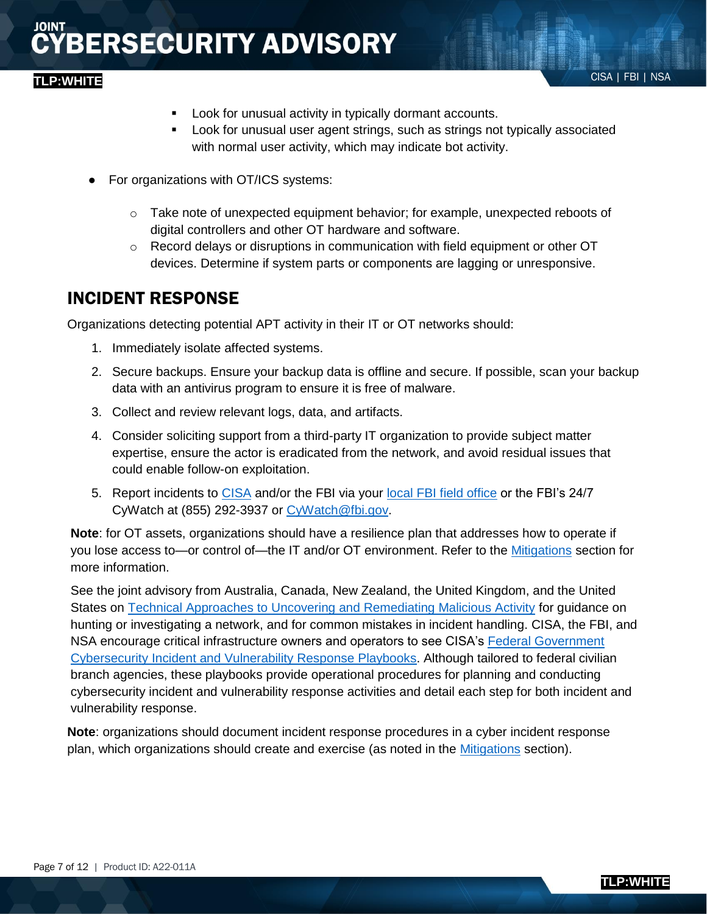- **Look for unusual activity in typically dormant accounts.**
- Look for unusual user agent strings, such as strings not typically associated with normal user activity, which may indicate bot activity.
- For organizations with OT/ICS systems:
	- $\circ$  Take note of unexpected equipment behavior; for example, unexpected reboots of digital controllers and other OT hardware and software.
	- $\circ$  Record delays or disruptions in communication with field equipment or other OT devices. Determine if system parts or components are lagging or unresponsive.

# INCIDENT RESPONSE

Organizations detecting potential APT activity in their IT or OT networks should:

- 1. Immediately isolate affected systems.
- 2. Secure backups. Ensure your backup data is offline and secure. If possible, scan your backup data with an antivirus program to ensure it is free of malware.
- 3. Collect and review relevant logs, data, and artifacts.
- 4. Consider soliciting support from a third-party IT organization to provide subject matter expertise, ensure the actor is eradicated from the network, and avoid residual issues that could enable follow-on exploitation.
- 5. Report incidents to [CISA](https://www.cisa.gov/uscert/report) and/or the FBI via your [local FBI field office](http://www.fbi.gov/contact-us/field) or the FBI's 24/7 CyWatch at (855) 292-3937 or [CyWatch@fbi.gov.](mailto:CyWatch@fbi.gov)

**Note**: for OT assets, organizations should have a resilience plan that addresses how to operate if you lose access to—or control of—the IT and/or OT environment. Refer to the [Mitigations](#page-7-1) section for more information.

See the joint advisory from Australia, Canada, New Zealand, the United Kingdom, and the United States on [Technical Approaches to Uncovering and Remediating Malicious Activity](https://us-cert.cisa.gov/ncas/alerts/aa20-245a) for guidance on hunting or investigating a network, and for common mistakes in incident handling. CISA, the FBI, and NSA encourage critical infrastructure owners and operators to see CISA's Federal Government [Cybersecurity Incident and Vulnerability Response Playbooks.](https://cisa.gov/sites/default/files/publications/Federal_Government_Cybersecurity_Incident_and_Vulnerability_Response_Playbooks_508C.pdf) Although tailored to federal civilian branch agencies, these playbooks provide operational procedures for planning and conducting cybersecurity incident and vulnerability response activities and detail each step for both incident and vulnerability response.

**Note**: organizations should document incident response procedures in a cyber incident response plan, which organizations should create and exercise (as noted in the [Mitigations](#page-7-1) section).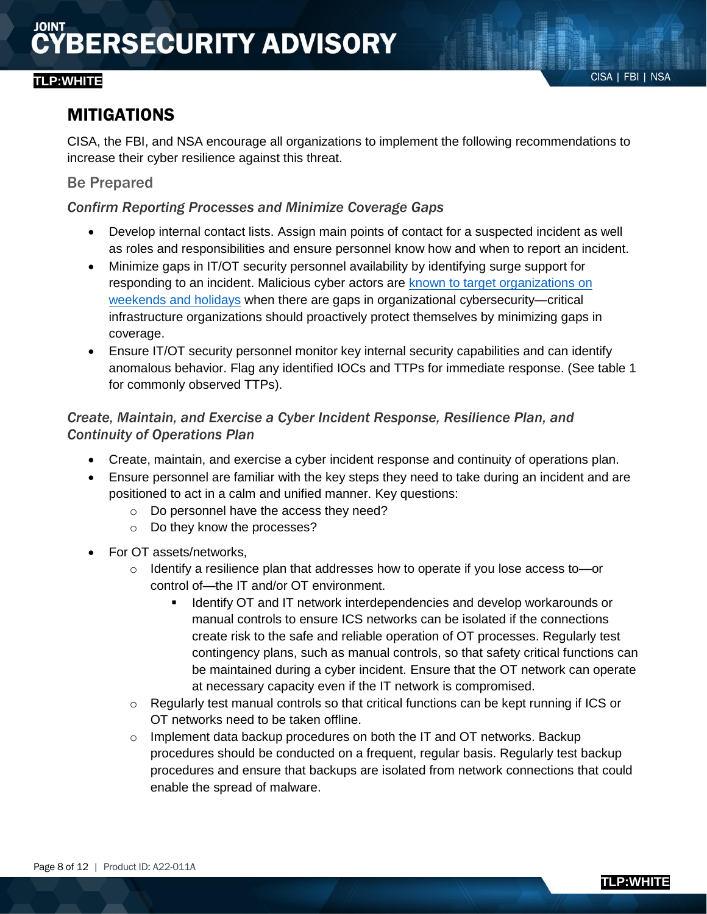## CISA | FBI | NSA **TLP:WHITE**

## <span id="page-7-0"></span>MITIGATIONS

CISA, the FBI, and NSA encourage all organizations to implement the following recommendations to increase their cyber resilience against this threat.

#### Be Prepared

#### *Confirm Reporting Processes and Minimize Coverage Gaps*

- Develop internal contact lists. Assign main points of contact for a suspected incident as well as roles and responsibilities and ensure personnel know how and when to report an incident.
- Minimize gaps in IT/OT security personnel availability by identifying surge support for responding to an incident. Malicious cyber actors are [known to target organizations on](https://us-cert.cisa.gov/ncas/alerts/aa21-243a)  [weekends and holidays](https://us-cert.cisa.gov/ncas/alerts/aa21-243a) when there are gaps in organizational cybersecurity—critical infrastructure organizations should proactively protect themselves by minimizing gaps in coverage.
- Ensure IT/OT security personnel monitor key internal security capabilities and can identify anomalous behavior. Flag any identified IOCs and TTPs for immediate response. (See table 1 for commonly observed TTPs).

#### <span id="page-7-1"></span>*Create, Maintain, and Exercise a Cyber Incident Response, Resilience Plan, and Continuity of Operations Plan*

- Create, maintain, and exercise a cyber incident response and continuity of operations plan.
- Ensure personnel are familiar with the key steps they need to take during an incident and are positioned to act in a calm and unified manner. Key questions:
	- o Do personnel have the access they need?
	- o Do they know the processes?
- For OT assets/networks,
	- $\circ$  Identify a resilience plan that addresses how to operate if you lose access to or control of—the IT and/or OT environment.
		- **I** Identify OT and IT network interdependencies and develop workarounds or manual controls to ensure ICS networks can be isolated if the connections create risk to the safe and reliable operation of OT processes. Regularly test contingency plans, such as manual controls, so that safety critical functions can be maintained during a cyber incident. Ensure that the OT network can operate at necessary capacity even if the IT network is compromised.
	- $\circ$  Regularly test manual controls so that critical functions can be kept running if ICS or OT networks need to be taken offline.
	- $\circ$  Implement data backup procedures on both the IT and OT networks. Backup procedures should be conducted on a frequent, regular basis. Regularly test backup procedures and ensure that backups are isolated from network connections that could enable the spread of malware.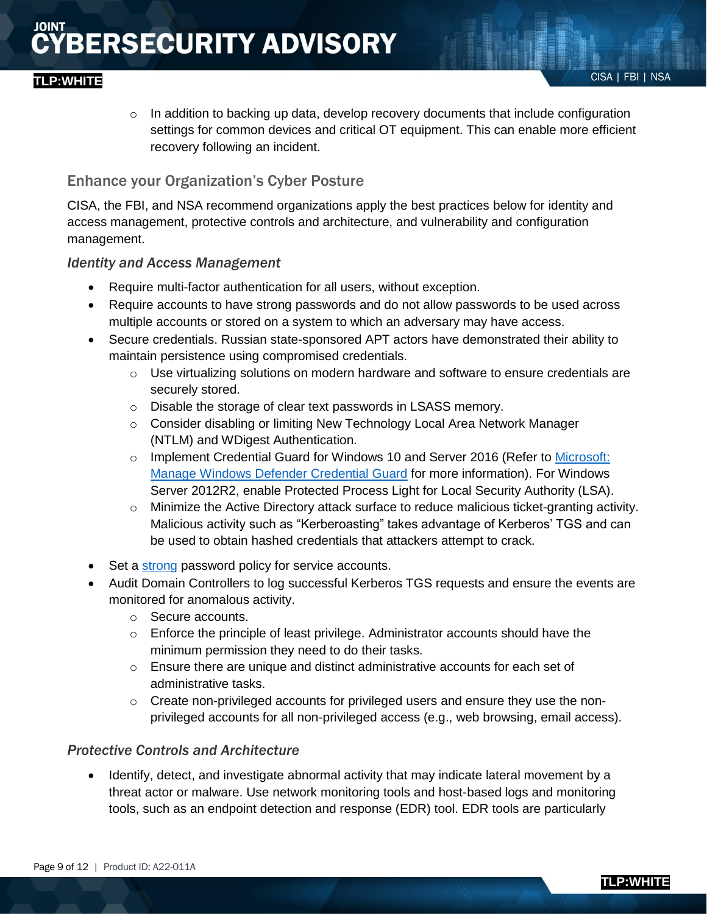o In addition to backing up data, develop recovery documents that include configuration settings for common devices and critical OT equipment. This can enable more efficient recovery following an incident.

### Enhance your Organization's Cyber Posture

CISA, the FBI, and NSA recommend organizations apply the best practices below for identity and access management, protective controls and architecture, and vulnerability and configuration management.

#### *Identity and Access Management*

- Require multi-factor authentication for all users, without exception.
- Require accounts to have strong passwords and do not allow passwords to be used across multiple accounts or stored on a system to which an adversary may have access.
- Secure credentials. Russian state-sponsored APT actors have demonstrated their ability to maintain persistence using compromised credentials.
	- $\circ$  Use virtualizing solutions on modern hardware and software to ensure credentials are securely stored.
	- o Disable the storage of clear text passwords in LSASS memory.
	- o Consider disabling or limiting New Technology Local Area Network Manager (NTLM) and WDigest Authentication.
	- o Implement Credential Guard for Windows 10 and Server 2016 (Refer to Microsoft: Manage [Windows Defender Credential Guard](https://docs.microsoft.com/en-us/windows/security/identity-protection/credential-guard/credential-guard-manage) for more information). For Windows Server 2012R2, enable Protected Process Light for Local Security Authority (LSA).
	- o Minimize the Active Directory attack surface to reduce malicious ticket-granting activity. Malicious activity such as "Kerberoasting" takes advantage of Kerberos' TGS and can be used to obtain hashed credentials that attackers attempt to crack.
- Set a [strong](https://www.us-cert.cisa.gov/ncas/tips/ST04-002) password policy for service accounts.
- Audit Domain Controllers to log successful Kerberos TGS requests and ensure the events are monitored for anomalous activity.
	- o Secure accounts.
	- $\circ$  Enforce the principle of least privilege. Administrator accounts should have the minimum permission they need to do their tasks.
	- $\circ$  Ensure there are unique and distinct administrative accounts for each set of administrative tasks.
	- $\circ$  Create non-privileged accounts for privileged users and ensure they use the nonprivileged accounts for all non-privileged access (e.g., web browsing, email access).

#### *Protective Controls and Architecture*

 Identify, detect, and investigate abnormal activity that may indicate lateral movement by a threat actor or malware. Use network monitoring tools and host-based logs and monitoring tools, such as an endpoint detection and response (EDR) tool. EDR tools are particularly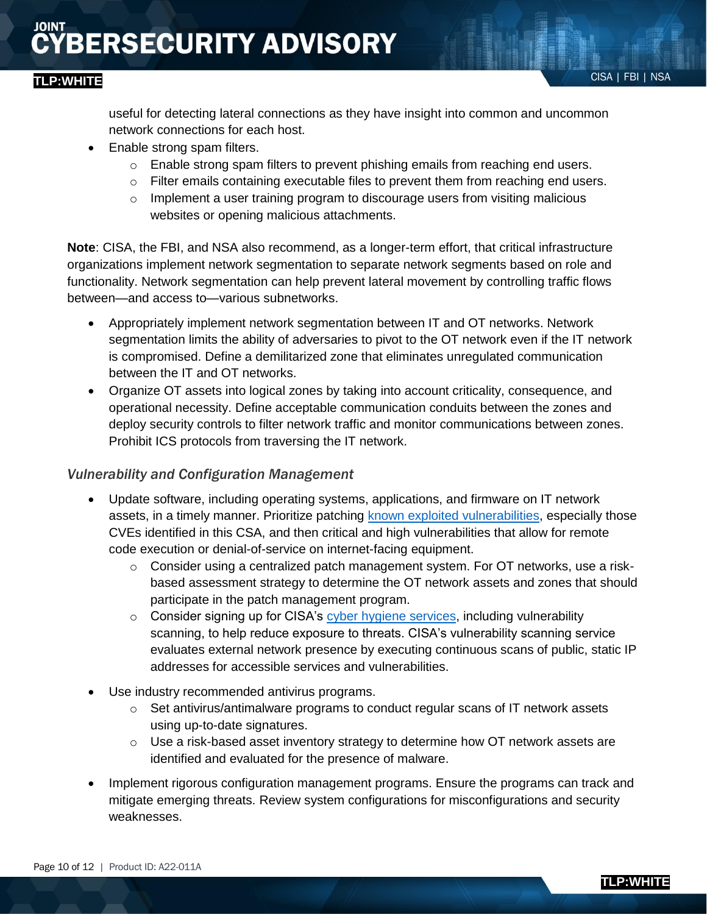## CISA | FBI | NSA **TLP:WHITE**

useful for detecting lateral connections as they have insight into common and uncommon network connections for each host.

- Enable strong spam filters.
	- o Enable strong spam filters to prevent phishing emails from reaching end users.
	- $\circ$  Filter emails containing executable files to prevent them from reaching end users.
	- $\circ$  Implement a user training program to discourage users from visiting malicious websites or opening malicious attachments.

**Note**: CISA, the FBI, and NSA also recommend, as a longer-term effort, that critical infrastructure organizations implement network segmentation to separate network segments based on role and functionality. Network segmentation can help prevent lateral movement by controlling traffic flows between—and access to—various subnetworks.

- Appropriately implement network segmentation between IT and OT networks. Network segmentation limits the ability of adversaries to pivot to the OT network even if the IT network is compromised. Define a demilitarized zone that eliminates unregulated communication between the IT and OT networks.
- Organize OT assets into logical zones by taking into account criticality, consequence, and operational necessity. Define acceptable communication conduits between the zones and deploy security controls to filter network traffic and monitor communications between zones. Prohibit ICS protocols from traversing the IT network.

#### *Vulnerability and Configuration Management*

- Update software, including operating systems, applications, and firmware on IT network assets, in a timely manner. Prioritize patching [known exploited vulnerabilities,](https://www.cisa.gov/known-exploited-vulnerabilities-catalog) especially those CVEs identified in this CSA, and then critical and high vulnerabilities that allow for remote code execution or denial-of-service on internet-facing equipment.
	- $\circ$  Consider using a centralized patch management system. For OT networks, use a riskbased assessment strategy to determine the OT network assets and zones that should participate in the patch management program.
	- $\circ$  Consider signing up for CISA's [cyber hygiene services,](https://www.cisa.gov/cyber-hygiene-services) including vulnerability scanning, to help reduce exposure to threats. CISA's vulnerability scanning service evaluates external network presence by executing continuous scans of public, static IP addresses for accessible services and vulnerabilities.
- Use industry recommended antivirus programs.
	- o Set antivirus/antimalware programs to conduct regular scans of IT network assets using up-to-date signatures.
	- o Use a risk-based asset inventory strategy to determine how OT network assets are identified and evaluated for the presence of malware.
- Implement rigorous configuration management programs. Ensure the programs can track and mitigate emerging threats. Review system configurations for misconfigurations and security weaknesses.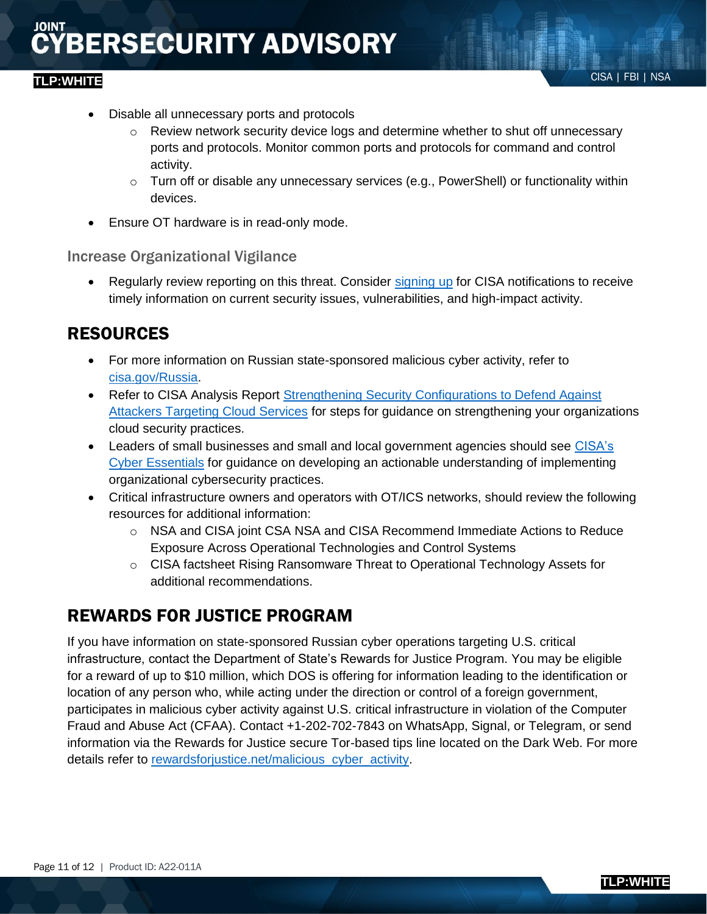## CISA | FBI | NSA **TLP:WHITE**

- Disable all unnecessary ports and protocols
	- $\circ$  Review network security device logs and determine whether to shut off unnecessary ports and protocols. Monitor common ports and protocols for command and control activity.
	- $\circ$  Turn off or disable any unnecessary services (e.g., PowerShell) or functionality within devices.
- Ensure OT hardware is in read-only mode.

#### Increase Organizational Vigilance

 Regularly review reporting on this threat. Consider [signing up](https://us-cert.cisa.gov/mailing-lists-and-feeds) for CISA notifications to receive timely information on current security issues, vulnerabilities, and high-impact activity.

## RESOURCES

- For more information on Russian state-sponsored malicious cyber activity, refer to [cisa.gov/Russia.](https://www.us-cert.cisa.gov/russia)
- Refer to CISA Analysis Report [Strengthening Security Configurations to Defend Against](https://us-cert.cisa.gov/ncas/analysis-reports/ar21-013a)  [Attackers Targeting Cloud Services](https://us-cert.cisa.gov/ncas/analysis-reports/ar21-013a) for steps for guidance on strengthening your organizations cloud security practices.
- Leaders of small businesses and small and local government agencies should see [CISA's](https://www.cisa.gov/cyber-essentials)  [Cyber Essentials](https://www.cisa.gov/cyber-essentials) for guidance on developing an actionable understanding of implementing organizational cybersecurity practices.
- Critical infrastructure owners and operators with OT/ICS networks, should review the following resources for additional information:
	- o NSA and CISA joint CSA [NSA and CISA Recommend Immediate Actions to Reduce](https://us-cert.cisa.gov/ncas/alerts/aa20-205a)  [Exposure Across Operational Technologies and Control Systems](https://us-cert.cisa.gov/ncas/alerts/aa20-205a)
	- o CISA factsheet [Rising Ransomware Threat to Operational Technology Assets](https://www.cisa.gov/sites/default/files/publications/CISA_Fact_Sheet-Rising_Ransomware_Threat_to_OT_Assets_508C.pdf) for additional recommendations.

# REWARDS FOR JUSTICE PROGRAM

If you have information on state-sponsored Russian cyber operations targeting U.S. critical infrastructure, contact the Department of State's Rewards for Justice Program. You may be eligible for a reward of up to \$10 million, which DOS is offering for information leading to the identification or location of any person who, while acting under the direction or control of a foreign government, participates in malicious cyber activity against U.S. critical infrastructure in violation of the Computer Fraud and Abuse Act (CFAA). Contact +1-202-702-7843 on WhatsApp, Signal, or Telegram, or send information via the Rewards for Justice secure Tor-based tips line located on the Dark Web. For more details refer to [rewardsforjustice.net/malicious\\_cyber\\_activity.](https://www.rewardsforjustice.net/malicious_cyber_activity.html)